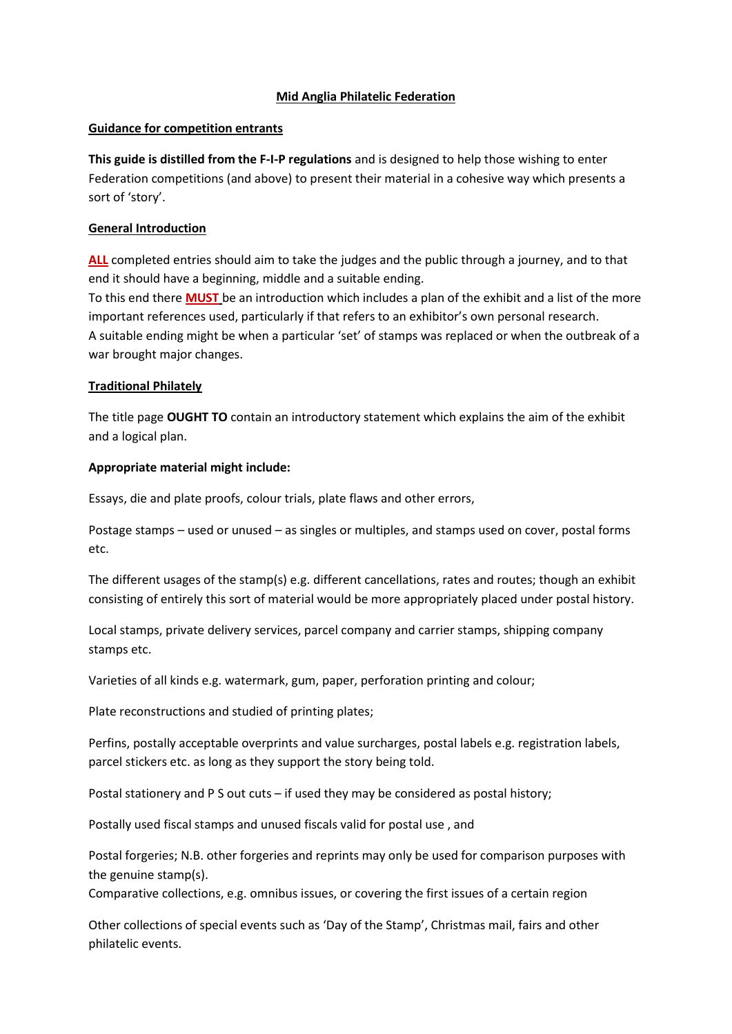## **Mid Anglia Philatelic Federation**

### **Guidance for competition entrants**

**This guide is distilled from the F-I-P regulations** and is designed to help those wishing to enter Federation competitions (and above) to present their material in a cohesive way which presents a sort of 'story'.

## **General Introduction**

**ALL** completed entries should aim to take the judges and the public through a journey, and to that end it should have a beginning, middle and a suitable ending. To this end there **MUST** be an introduction which includes a plan of the exhibit and a list of the more important references used, particularly if that refers to an exhibitor's own personal research.

A suitable ending might be when a particular 'set' of stamps was replaced or when the outbreak of a war brought major changes.

## **Traditional Philately**

The title page **OUGHT TO** contain an introductory statement which explains the aim of the exhibit and a logical plan.

## **Appropriate material might include:**

Essays, die and plate proofs, colour trials, plate flaws and other errors,

Postage stamps – used or unused – as singles or multiples, and stamps used on cover, postal forms etc.

The different usages of the stamp(s) e.g. different cancellations, rates and routes; though an exhibit consisting of entirely this sort of material would be more appropriately placed under postal history.

Local stamps, private delivery services, parcel company and carrier stamps, shipping company stamps etc.

Varieties of all kinds e.g. watermark, gum, paper, perforation printing and colour;

Plate reconstructions and studied of printing plates;

Perfins, postally acceptable overprints and value surcharges, postal labels e.g. registration labels, parcel stickers etc. as long as they support the story being told.

Postal stationery and P S out cuts – if used they may be considered as postal history;

Postally used fiscal stamps and unused fiscals valid for postal use , and

Postal forgeries; N.B. other forgeries and reprints may only be used for comparison purposes with the genuine stamp(s).

Comparative collections, e.g. omnibus issues, or covering the first issues of a certain region

Other collections of special events such as 'Day of the Stamp', Christmas mail, fairs and other philatelic events.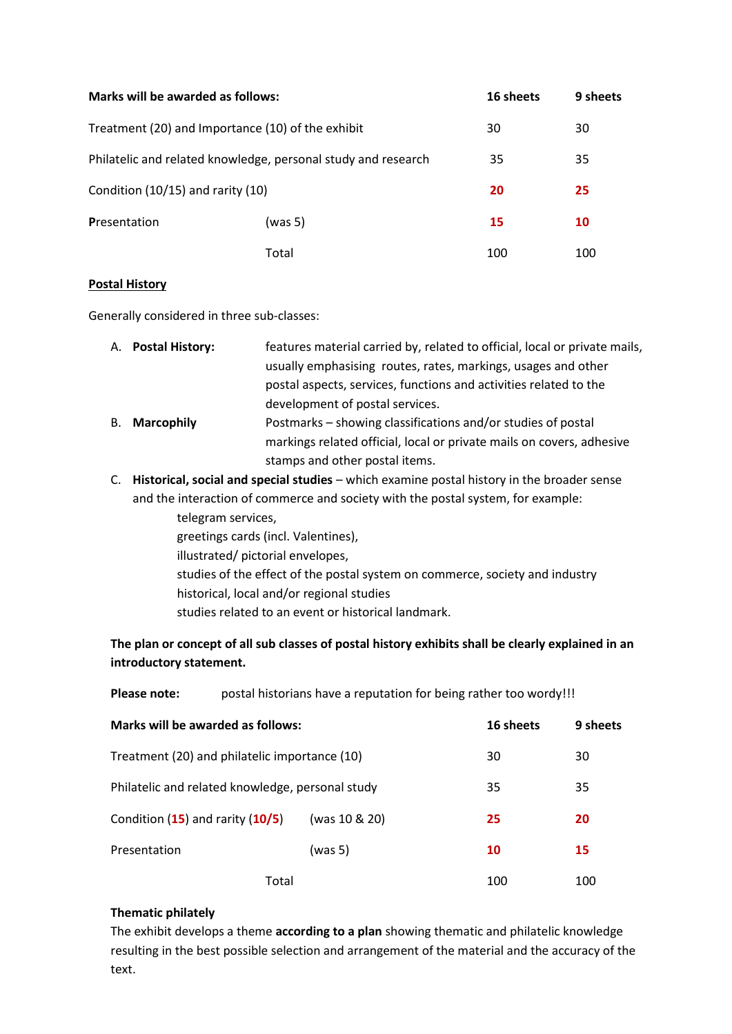| Marks will be awarded as follows:                             |         | 16 sheets | 9 sheets |
|---------------------------------------------------------------|---------|-----------|----------|
| Treatment (20) and Importance (10) of the exhibit             |         | 30        | 30       |
| Philatelic and related knowledge, personal study and research |         | 35        | 35       |
| Condition (10/15) and rarity (10)                             |         | 20        | 25       |
| Presentation                                                  | (was 5) | 15        | 10       |
|                                                               | Total   | 100       | 100      |

## **Postal History**

Generally considered in three sub-classes:

|                      | A. Postal History: | features material carried by, related to official, local or private mails, |  |
|----------------------|--------------------|----------------------------------------------------------------------------|--|
|                      |                    | usually emphasising routes, rates, markings, usages and other              |  |
|                      |                    | postal aspects, services, functions and activities related to the          |  |
|                      |                    | development of postal services.                                            |  |
| <b>B.</b> Marcophily |                    | Postmarks – showing classifications and/or studies of postal               |  |
|                      |                    | markings related official, local or private mails on covers, adhesive      |  |
|                      |                    | stamps and other postal items.                                             |  |

C. **Historical, social and special studies** – which examine postal history in the broader sense and the interaction of commerce and society with the postal system, for example:

> telegram services, greetings cards (incl. Valentines), illustrated/ pictorial envelopes, studies of the effect of the postal system on commerce, society and industry historical, local and/or regional studies studies related to an event or historical landmark.

**The plan or concept of all sub classes of postal history exhibits shall be clearly explained in an introductory statement.** 

**Please note:** postal historians have a reputation for being rather too wordy!!!

| Marks will be awarded as follows:                     |         | 16 sheets | 9 sheets |
|-------------------------------------------------------|---------|-----------|----------|
| Treatment (20) and philatelic importance (10)         |         | 30        | 30       |
| Philatelic and related knowledge, personal study      |         | 35        | 35       |
| Condition $(15)$ and rarity $(10/5)$<br>(was 10 & 20) |         | 25        | 20       |
| Presentation                                          | (was 5) | 10        | 15       |
| Total                                                 |         | 100       | 100      |

### **Thematic philately**

The exhibit develops a theme **according to a plan** showing thematic and philatelic knowledge resulting in the best possible selection and arrangement of the material and the accuracy of the text.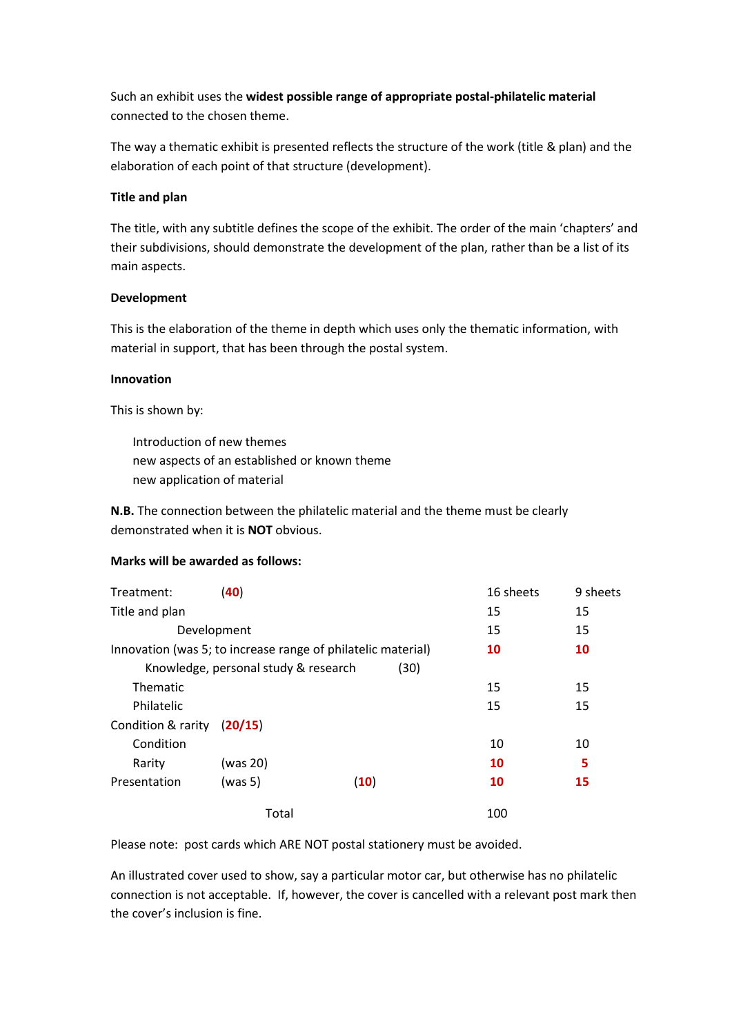Such an exhibit uses the **widest possible range of appropriate postal-philatelic material** connected to the chosen theme.

The way a thematic exhibit is presented reflects the structure of the work (title & plan) and the elaboration of each point of that structure (development).

### **Title and plan**

The title, with any subtitle defines the scope of the exhibit. The order of the main 'chapters' and their subdivisions, should demonstrate the development of the plan, rather than be a list of its main aspects.

## **Development**

This is the elaboration of the theme in depth which uses only the thematic information, with material in support, that has been through the postal system.

## **Innovation**

This is shown by:

Introduction of new themes new aspects of an established or known theme new application of material

**N.B.** The connection between the philatelic material and the theme must be clearly demonstrated when it is **NOT** obvious.

### **Marks will be awarded as follows:**

| Treatment:                                                   | (40)                                 |      | 16 sheets | 9 sheets |
|--------------------------------------------------------------|--------------------------------------|------|-----------|----------|
| Title and plan                                               |                                      |      | 15        | 15       |
| Development                                                  |                                      |      | 15        | 15       |
| Innovation (was 5; to increase range of philatelic material) |                                      |      | 10        | 10       |
|                                                              | Knowledge, personal study & research | (30) |           |          |
| Thematic                                                     |                                      |      | 15        | 15       |
| Philatelic                                                   |                                      |      | 15        | 15       |
| Condition & rarity                                           | (20/15)                              |      |           |          |
| Condition                                                    |                                      |      | 10        | 10       |
| Rarity                                                       | (was 20)                             |      | 10        | 5        |
| Presentation                                                 | (was 5)                              | (10) | 10        | 15       |
|                                                              | Total                                |      | 100       |          |

Please note: post cards which ARE NOT postal stationery must be avoided.

An illustrated cover used to show, say a particular motor car, but otherwise has no philatelic connection is not acceptable. If, however, the cover is cancelled with a relevant post mark then the cover's inclusion is fine.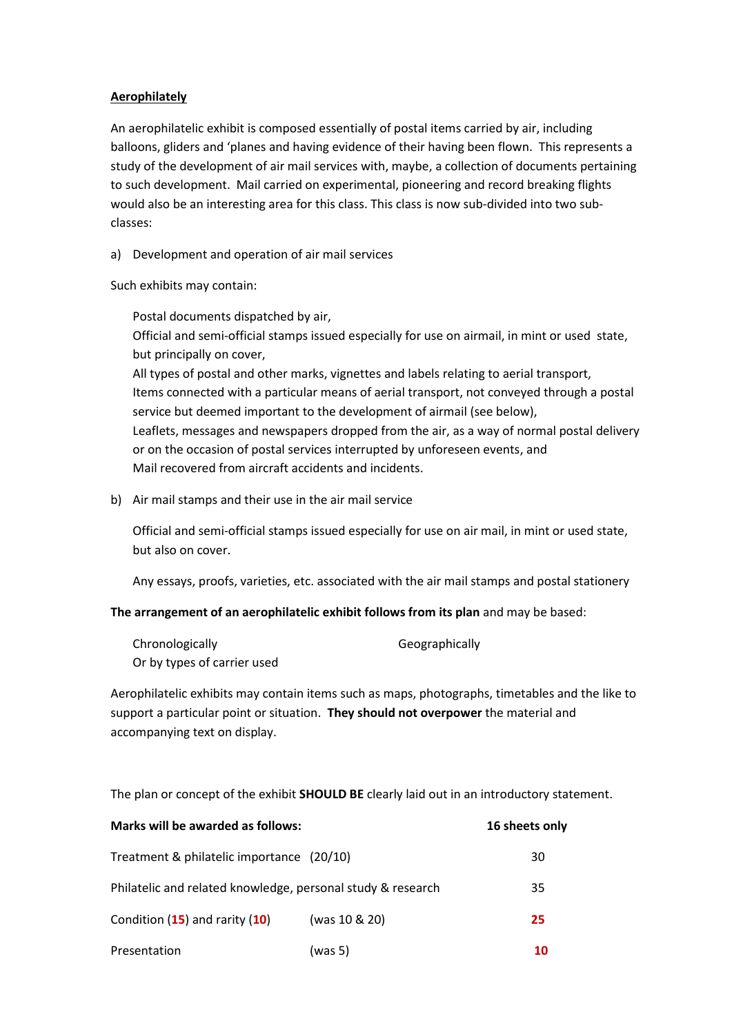### **Aerophilately**

An aerophilatelic exhibit is composed essentially of postal items carried by air, including balloons, gliders and 'planes and having evidence of their having been flown. This represents a study of the development of air mail services with, maybe, a collection of documents pertaining to such development. Mail carried on experimental, pioneering and record breaking flights would also be an interesting area for this class. This class is now sub-divided into two subclasses:

a) Development and operation of air mail services

Such exhibits may contain:

Postal documents dispatched by air,

Official and semi-official stamps issued especially for use on airmail, in mint or used state, but principally on cover,

All types of postal and other marks, vignettes and labels relating to aerial transport, Items connected with a particular means of aerial transport, not conveyed through a postal service but deemed important to the development of airmail (see below), Leaflets, messages and newspapers dropped from the air, as a way of normal postal delivery or on the occasion of postal services interrupted by unforeseen events, and Mail recovered from aircraft accidents and incidents.

b) Air mail stamps and their use in the air mail service

Official and semi-official stamps issued especially for use on air mail, in mint or used state, but also on cover.

Any essays, proofs, varieties, etc. associated with the air mail stamps and postal stationery

### **The arrangement of an aerophilatelic exhibit follows from its plan** and may be based:

| Chronologically             | Geographically |
|-----------------------------|----------------|
| Or by types of carrier used |                |

Aerophilatelic exhibits may contain items such as maps, photographs, timetables and the like to support a particular point or situation. **They should not overpower** the material and accompanying text on display.

The plan or concept of the exhibit **SHOULD BE** clearly laid out in an introductory statement.

| Marks will be awarded as follows:                           |               | 16 sheets only |  |
|-------------------------------------------------------------|---------------|----------------|--|
| Treatment & philatelic importance (20/10)                   |               | 30             |  |
| Philatelic and related knowledge, personal study & research |               | 35             |  |
| Condition $(15)$ and rarity $(10)$                          | (was 10 & 20) | 25             |  |
| Presentation                                                | (was 5)       | 10             |  |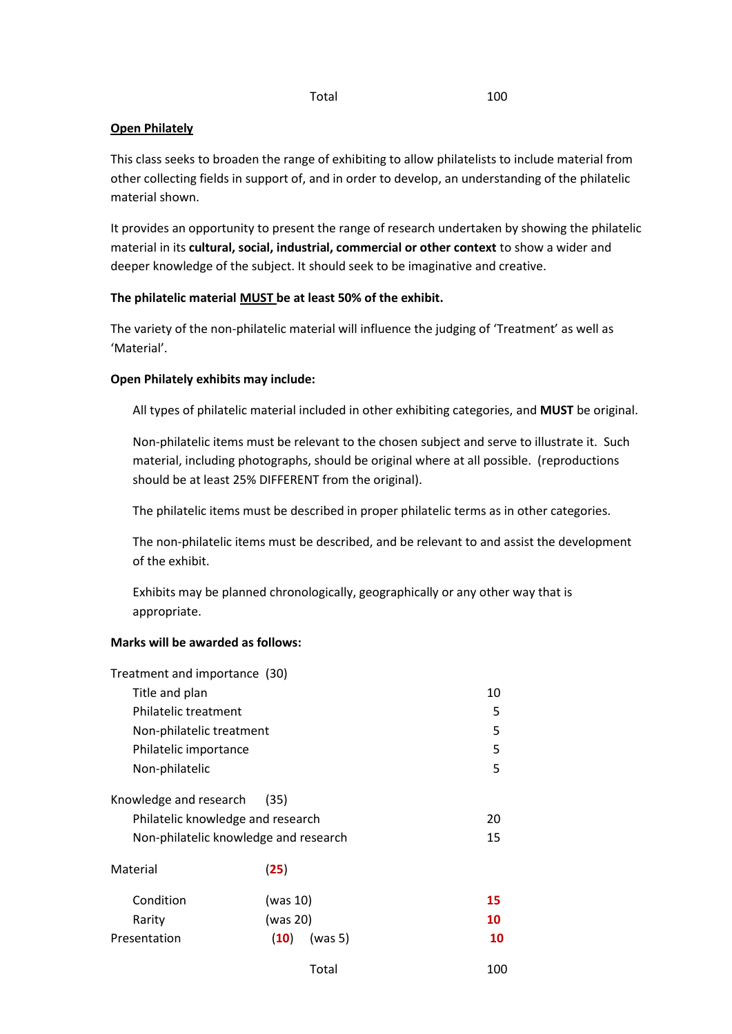#### Total 100

## **Open Philately**

This class seeks to broaden the range of exhibiting to allow philatelists to include material from other collecting fields in support of, and in order to develop, an understanding of the philatelic material shown.

It provides an opportunity to present the range of research undertaken by showing the philatelic material in its **cultural, social, industrial, commercial or other context** to show a wider and deeper knowledge of the subject. It should seek to be imaginative and creative.

## **The philatelic material MUST be at least 50% of the exhibit.**

The variety of the non-philatelic material will influence the judging of 'Treatment' as well as 'Material'.

## **Open Philately exhibits may include:**

All types of philatelic material included in other exhibiting categories, and **MUST** be original.

Non-philatelic items must be relevant to the chosen subject and serve to illustrate it. Such material, including photographs, should be original where at all possible. (reproductions should be at least 25% DIFFERENT from the original).

The philatelic items must be described in proper philatelic terms as in other categories.

The non-philatelic items must be described, and be relevant to and assist the development of the exhibit.

Exhibits may be planned chronologically, geographically or any other way that is appropriate.

# **Marks will be awarded as follows:**

| Treatment and importance (30)     |                                       |     |
|-----------------------------------|---------------------------------------|-----|
| Title and plan                    | 10                                    |     |
| Philatelic treatment              | 5                                     |     |
| Non-philatelic treatment          |                                       | 5   |
| Philatelic importance             |                                       | 5   |
| Non-philatelic                    |                                       | 5   |
| Knowledge and research            | (35)                                  |     |
| Philatelic knowledge and research | 20                                    |     |
|                                   | Non-philatelic knowledge and research | 15  |
| Material                          | (25)                                  |     |
| Condition                         | (was 10)                              | 15  |
| Rarity                            | (was 20)                              | 10  |
| Presentation                      | (10)<br>(was 5)                       | 10  |
|                                   | Total                                 | 100 |